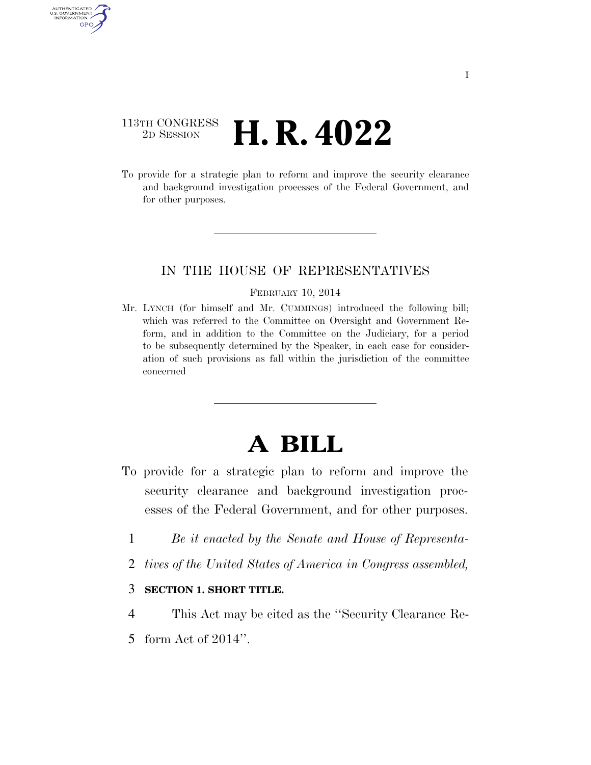## 113TH CONGRESS <sup>2D SESSION</sup> **H. R. 4022**

AUTHENTICATED U.S. GOVERNMENT GPO

> To provide for a strategic plan to reform and improve the security clearance and background investigation processes of the Federal Government, and for other purposes.

### IN THE HOUSE OF REPRESENTATIVES

#### FEBRUARY 10, 2014

Mr. LYNCH (for himself and Mr. CUMMINGS) introduced the following bill; which was referred to the Committee on Oversight and Government Reform, and in addition to the Committee on the Judiciary, for a period to be subsequently determined by the Speaker, in each case for consideration of such provisions as fall within the jurisdiction of the committee concerned

# **A BILL**

- To provide for a strategic plan to reform and improve the security clearance and background investigation processes of the Federal Government, and for other purposes.
	- 1 *Be it enacted by the Senate and House of Representa-*
	- 2 *tives of the United States of America in Congress assembled,*

#### 3 **SECTION 1. SHORT TITLE.**

- 4 This Act may be cited as the ''Security Clearance Re-
- 5 form Act of 2014''.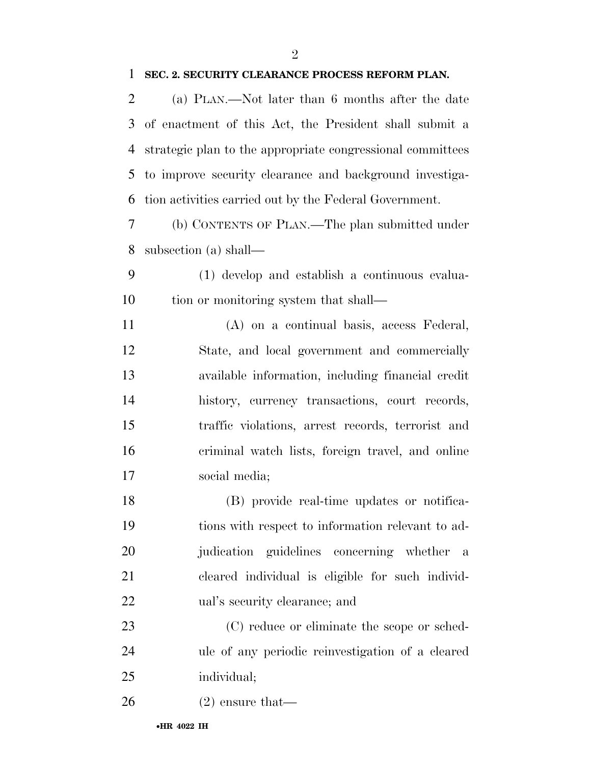#### **SEC. 2. SECURITY CLEARANCE PROCESS REFORM PLAN.**

 (a) PLAN.—Not later than 6 months after the date of enactment of this Act, the President shall submit a strategic plan to the appropriate congressional committees to improve security clearance and background investiga-tion activities carried out by the Federal Government.

 (b) CONTENTS OF PLAN.—The plan submitted under subsection (a) shall—

 (1) develop and establish a continuous evalua-10 tion or monitoring system that shall—

 (A) on a continual basis, access Federal, State, and local government and commercially available information, including financial credit history, currency transactions, court records, traffic violations, arrest records, terrorist and criminal watch lists, foreign travel, and online social media;

 (B) provide real-time updates or notifica- tions with respect to information relevant to ad- judication guidelines concerning whether a cleared individual is eligible for such individ-ual's security clearance; and

 (C) reduce or eliminate the scope or sched- ule of any periodic reinvestigation of a cleared individual;

(2) ensure that—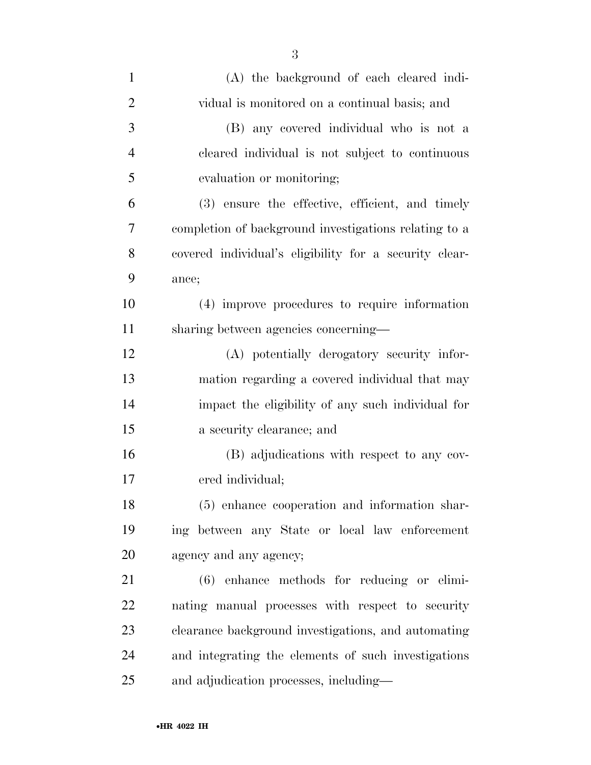| $\mathbf{1}$   | (A) the background of each cleared indi-               |
|----------------|--------------------------------------------------------|
| $\overline{2}$ | vidual is monitored on a continual basis; and          |
| 3              | (B) any covered individual who is not a                |
| $\overline{4}$ | cleared individual is not subject to continuous        |
| 5              | evaluation or monitoring;                              |
| 6              | (3) ensure the effective, efficient, and timely        |
| 7              | completion of background investigations relating to a  |
| 8              | covered individual's eligibility for a security clear- |
| 9              | ance;                                                  |
| 10             | (4) improve procedures to require information          |
| 11             | sharing between agencies concerning—                   |
| 12             | (A) potentially derogatory security infor-             |
| 13             | mation regarding a covered individual that may         |
| 14             | impact the eligibility of any such individual for      |
| 15             | a security clearance; and                              |
| 16             | (B) adjudications with respect to any cov-             |
| 17             | ered individual;                                       |
| 18             | (5) enhance cooperation and information shar-          |
| 19             | ing between any State or local law enforcement         |
| 20             | agency and any agency;                                 |
| 21             | $(6)$ enhance methods for reducing or elimi-           |
| 22             | nating manual processes with respect to security       |
| 23             | clearance background investigations, and automating    |
| 24             | and integrating the elements of such investigations    |
| 25             | and adjudication processes, including—                 |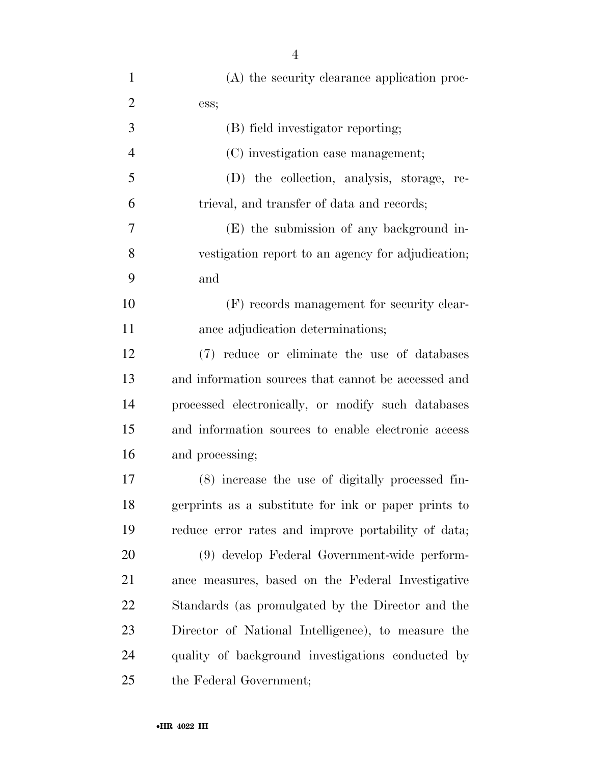| $\mathbf{1}$   | (A) the security clearance application proc-         |
|----------------|------------------------------------------------------|
| $\overline{2}$ | ess;                                                 |
| 3              | (B) field investigator reporting;                    |
| $\overline{4}$ | (C) investigation case management;                   |
| 5              | (D) the collection, analysis, storage, re-           |
| 6              | trieval, and transfer of data and records;           |
| 7              | (E) the submission of any background in-             |
| 8              | vestigation report to an agency for adjudication;    |
| 9              | and                                                  |
| 10             | (F) records management for security clear-           |
| 11             | ance adjudication determinations;                    |
| 12             | (7) reduce or eliminate the use of databases         |
| 13             | and information sources that cannot be accessed and  |
| 14             | processed electronically, or modify such databases   |
| 15             | and information sources to enable electronic access  |
| 16             | and processing;                                      |
| 17             | (8) increase the use of digitally processed fin-     |
| 18             | gerprints as a substitute for ink or paper prints to |
| 19             | reduce error rates and improve portability of data;  |
| 20             | (9) develop Federal Government-wide perform-         |
| 21             | ance measures, based on the Federal Investigative    |
| 22             | Standards (as promulgated by the Director and the    |
| 23             | Director of National Intelligence), to measure the   |
| 24             | quality of background investigations conducted by    |
| 25             | the Federal Government;                              |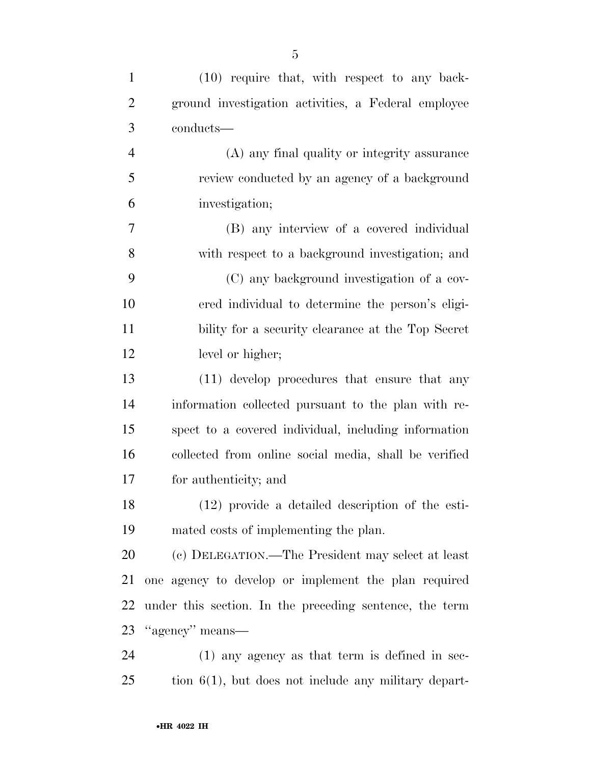| $\mathbf{1}$   | $(10)$ require that, with respect to any back-          |
|----------------|---------------------------------------------------------|
| $\overline{c}$ | ground investigation activities, a Federal employee     |
| 3              | conducts-                                               |
| $\overline{4}$ | (A) any final quality or integrity assurance            |
| 5              | review conducted by an agency of a background           |
| 6              | investigation;                                          |
| 7              | (B) any interview of a covered individual               |
| 8              | with respect to a background investigation; and         |
| 9              | (C) any background investigation of a cov-              |
| 10             | ered individual to determine the person's eligi-        |
| 11             | bility for a security clearance at the Top Secret       |
| 12             | level or higher;                                        |
| 13             | (11) develop procedures that ensure that any            |
| 14             | information collected pursuant to the plan with re-     |
| 15             | spect to a covered individual, including information    |
| 16             | collected from online social media, shall be verified   |
| 17             | for authenticity; and                                   |
| 18             | $(12)$ provide a detailed description of the esti-      |
| 19             | mated costs of implementing the plan.                   |
| 20             | (c) DELEGATION.—The President may select at least       |
| 21             | one agency to develop or implement the plan required    |
| 22             | under this section. In the preceding sentence, the term |
| 23             | "agency" means—                                         |
| 24             | $(1)$ any agency as that term is defined in sec-        |
| 25             | tion $6(1)$ , but does not include any military depart- |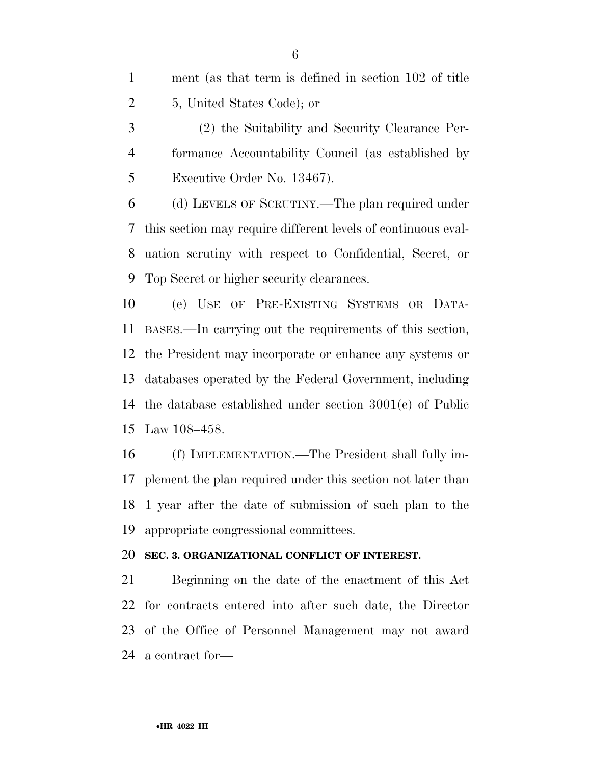| ment (as that term is defined in section 102 of title) |
|--------------------------------------------------------|
| 5, United States Code); or                             |

 (2) the Suitability and Security Clearance Per- formance Accountability Council (as established by Executive Order No. 13467).

 (d) LEVELS OF SCRUTINY.—The plan required under this section may require different levels of continuous eval- uation scrutiny with respect to Confidential, Secret, or Top Secret or higher security clearances.

 (e) USE OF PRE-EXISTING SYSTEMS OR DATA- BASES.—In carrying out the requirements of this section, the President may incorporate or enhance any systems or databases operated by the Federal Government, including the database established under section 3001(e) of Public Law 108–458.

 (f) IMPLEMENTATION.—The President shall fully im- plement the plan required under this section not later than 1 year after the date of submission of such plan to the appropriate congressional committees.

#### **SEC. 3. ORGANIZATIONAL CONFLICT OF INTEREST.**

 Beginning on the date of the enactment of this Act for contracts entered into after such date, the Director of the Office of Personnel Management may not award a contract for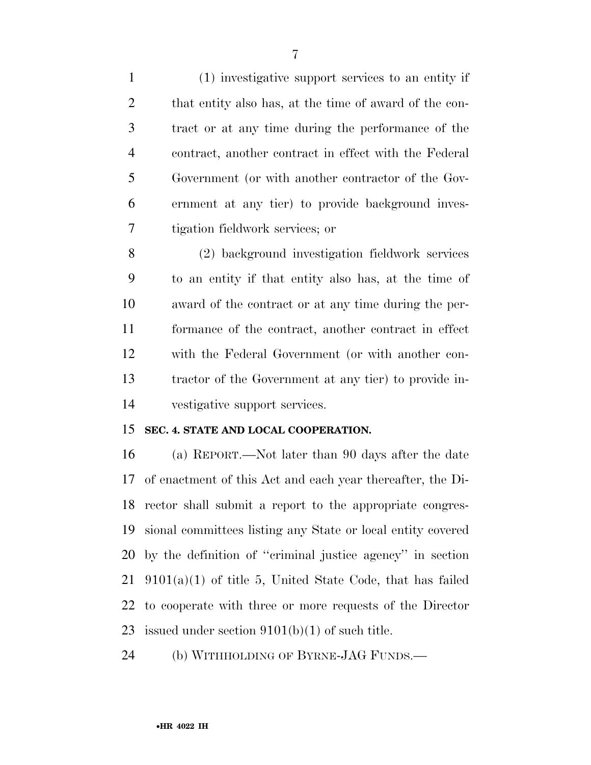(1) investigative support services to an entity if 2 that entity also has, at the time of award of the con- tract or at any time during the performance of the contract, another contract in effect with the Federal Government (or with another contractor of the Gov- ernment at any tier) to provide background inves-tigation fieldwork services; or

 (2) background investigation fieldwork services to an entity if that entity also has, at the time of award of the contract or at any time during the per- formance of the contract, another contract in effect with the Federal Government (or with another con- tractor of the Government at any tier) to provide in-vestigative support services.

#### **SEC. 4. STATE AND LOCAL COOPERATION.**

 (a) REPORT.—Not later than 90 days after the date of enactment of this Act and each year thereafter, the Di- rector shall submit a report to the appropriate congres- sional committees listing any State or local entity covered by the definition of ''criminal justice agency'' in section  $21 \quad 9101(a)(1)$  of title 5, United State Code, that has failed to cooperate with three or more requests of the Director 23 issued under section  $9101(b)(1)$  of such title.

(b) WITHHOLDING OF BYRNE-JAG FUNDS.—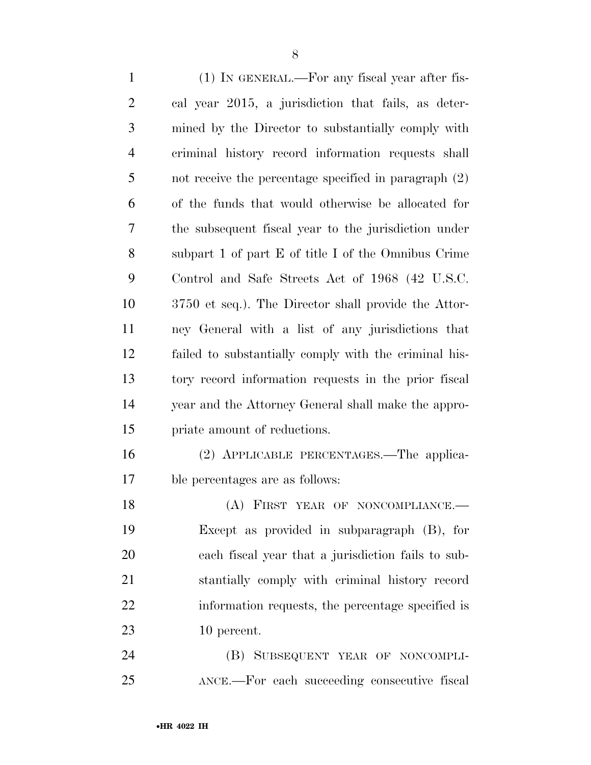(1) IN GENERAL.—For any fiscal year after fis- cal year 2015, a jurisdiction that fails, as deter- mined by the Director to substantially comply with criminal history record information requests shall not receive the percentage specified in paragraph (2) of the funds that would otherwise be allocated for the subsequent fiscal year to the jurisdiction under subpart 1 of part E of title I of the Omnibus Crime Control and Safe Streets Act of 1968 (42 U.S.C. 3750 et seq.). The Director shall provide the Attor- ney General with a list of any jurisdictions that failed to substantially comply with the criminal his- tory record information requests in the prior fiscal year and the Attorney General shall make the appro- priate amount of reductions. (2) APPLICABLE PERCENTAGES.—The applica- ble percentages are as follows: 18 (A) FIRST YEAR OF NONCOMPLIANCE. Except as provided in subparagraph (B), for each fiscal year that a jurisdiction fails to sub-stantially comply with criminal history record

10 percent.

 (B) SUBSEQUENT YEAR OF NONCOMPLI-ANCE.—For each succeeding consecutive fiscal

information requests, the percentage specified is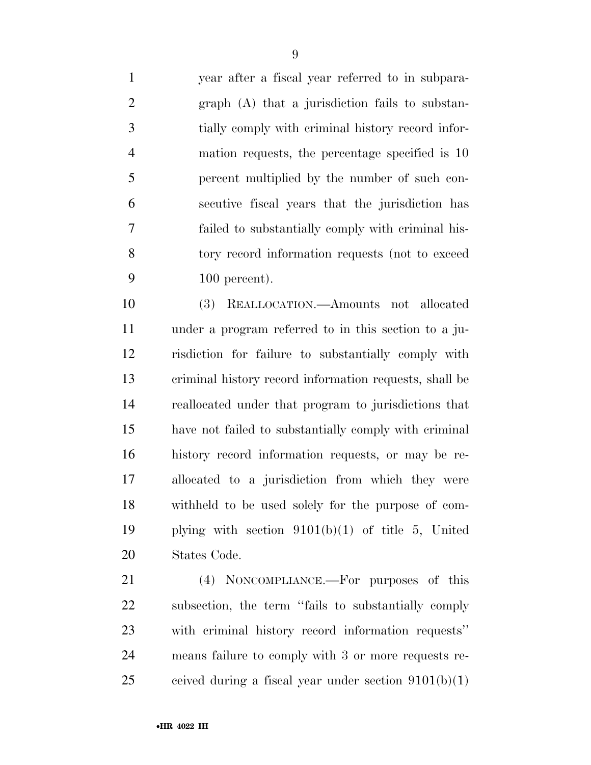year after a fiscal year referred to in subpara- graph (A) that a jurisdiction fails to substan- tially comply with criminal history record infor- mation requests, the percentage specified is 10 percent multiplied by the number of such con- secutive fiscal years that the jurisdiction has failed to substantially comply with criminal his- tory record information requests (not to exceed 100 percent).

 (3) REALLOCATION.—Amounts not allocated under a program referred to in this section to a ju- risdiction for failure to substantially comply with criminal history record information requests, shall be reallocated under that program to jurisdictions that have not failed to substantially comply with criminal history record information requests, or may be re- allocated to a jurisdiction from which they were withheld to be used solely for the purpose of com- plying with section 9101(b)(1) of title 5, United States Code.

 (4) NONCOMPLIANCE.—For purposes of this subsection, the term ''fails to substantially comply with criminal history record information requests'' means failure to comply with 3 or more requests re-25 ceived during a fiscal year under section  $9101(b)(1)$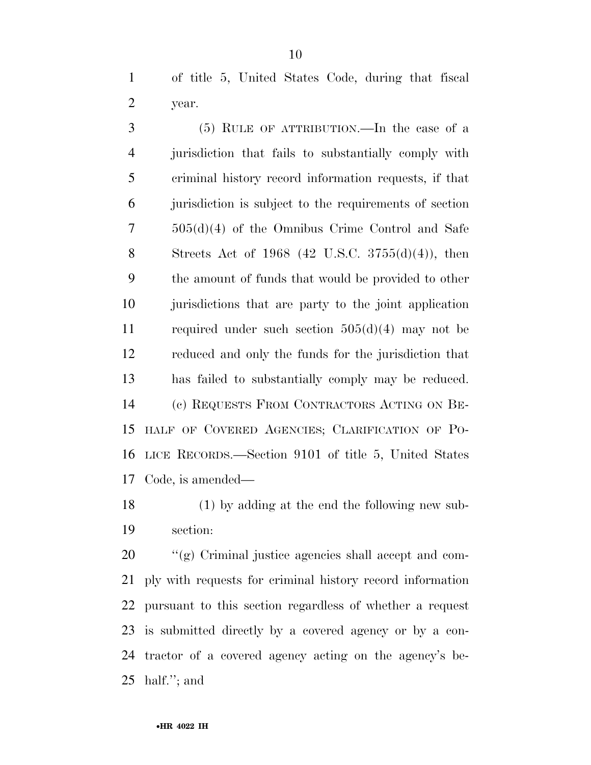of title 5, United States Code, during that fiscal year.

 (5) RULE OF ATTRIBUTION.—In the case of a jurisdiction that fails to substantially comply with criminal history record information requests, if that jurisdiction is subject to the requirements of section 505(d)(4) of the Omnibus Crime Control and Safe Streets Act of 1968 (42 U.S.C. 3755(d)(4)), then the amount of funds that would be provided to other jurisdictions that are party to the joint application required under such section 505(d)(4) may not be reduced and only the funds for the jurisdiction that has failed to substantially comply may be reduced. (c) REQUESTS FROM CONTRACTORS ACTING ON BE- HALF OF COVERED AGENCIES; CLARIFICATION OF PO- LICE RECORDS.—Section 9101 of title 5, United States Code, is amended—

 (1) by adding at the end the following new sub-section:

 ''(g) Criminal justice agencies shall accept and com- ply with requests for criminal history record information pursuant to this section regardless of whether a request is submitted directly by a covered agency or by a con- tractor of a covered agency acting on the agency's be-half.''; and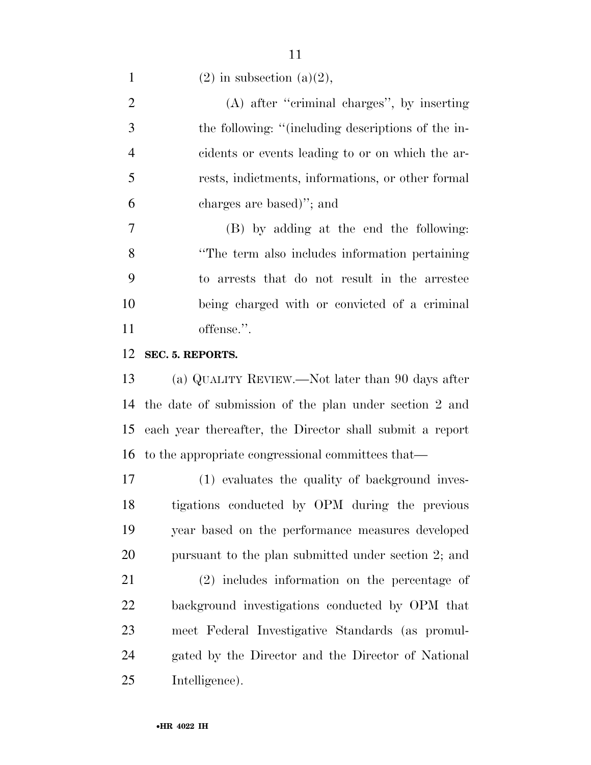1 (2) in subsection (a)(2),

 (A) after ''criminal charges'', by inserting the following: ''(including descriptions of the in- cidents or events leading to or on which the ar- rests, indictments, informations, or other formal charges are based)''; and

 (B) by adding at the end the following: ''The term also includes information pertaining to arrests that do not result in the arrestee being charged with or convicted of a criminal offense.''.

#### **SEC. 5. REPORTS.**

 (a) QUALITY REVIEW.—Not later than 90 days after the date of submission of the plan under section 2 and each year thereafter, the Director shall submit a report to the appropriate congressional committees that—

 (1) evaluates the quality of background inves- tigations conducted by OPM during the previous year based on the performance measures developed pursuant to the plan submitted under section 2; and

 (2) includes information on the percentage of background investigations conducted by OPM that meet Federal Investigative Standards (as promul- gated by the Director and the Director of National Intelligence).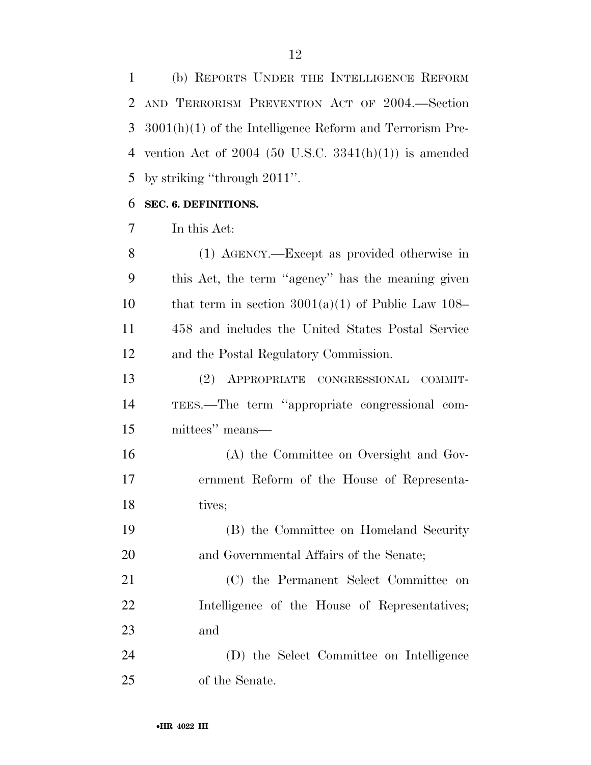(b) REPORTS UNDER THE INTELLIGENCE REFORM AND TERRORISM PREVENTION ACT OF 2004.—Section 3001(h)(1) of the Intelligence Reform and Terrorism Pre- vention Act of 2004 (50 U.S.C. 3341(h)(1)) is amended by striking ''through 2011''.

#### **SEC. 6. DEFINITIONS.**

In this Act:

 (1) AGENCY.—Except as provided otherwise in this Act, the term ''agency'' has the meaning given 10 that term in section  $3001(a)(1)$  of Public Law 108– 458 and includes the United States Postal Service and the Postal Regulatory Commission.

 (2) APPROPRIATE CONGRESSIONAL COMMIT- TEES.—The term ''appropriate congressional com-mittees'' means—

 (A) the Committee on Oversight and Gov- ernment Reform of the House of Representa-18 tives;

 (B) the Committee on Homeland Security and Governmental Affairs of the Senate;

 (C) the Permanent Select Committee on Intelligence of the House of Representatives; and

 (D) the Select Committee on Intelligence of the Senate.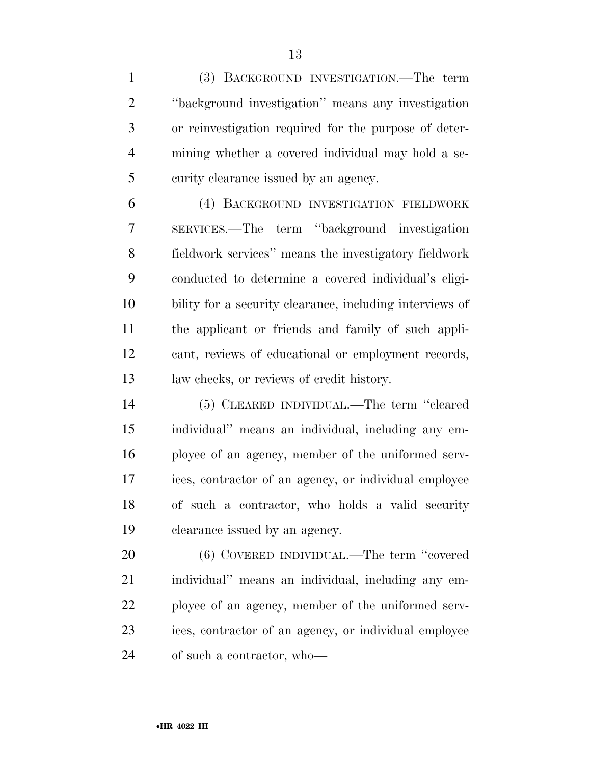(3) BACKGROUND INVESTIGATION.—The term ''background investigation'' means any investigation or reinvestigation required for the purpose of deter- mining whether a covered individual may hold a se-curity clearance issued by an agency.

 (4) BACKGROUND INVESTIGATION FIELDWORK SERVICES.—The term ''background investigation fieldwork services'' means the investigatory fieldwork conducted to determine a covered individual's eligi- bility for a security clearance, including interviews of the applicant or friends and family of such appli- cant, reviews of educational or employment records, law checks, or reviews of credit history.

 (5) CLEARED INDIVIDUAL.—The term ''cleared individual'' means an individual, including any em- ployee of an agency, member of the uniformed serv- ices, contractor of an agency, or individual employee of such a contractor, who holds a valid security clearance issued by an agency.

 (6) COVERED INDIVIDUAL.—The term ''covered individual'' means an individual, including any em- ployee of an agency, member of the uniformed serv- ices, contractor of an agency, or individual employee of such a contractor, who—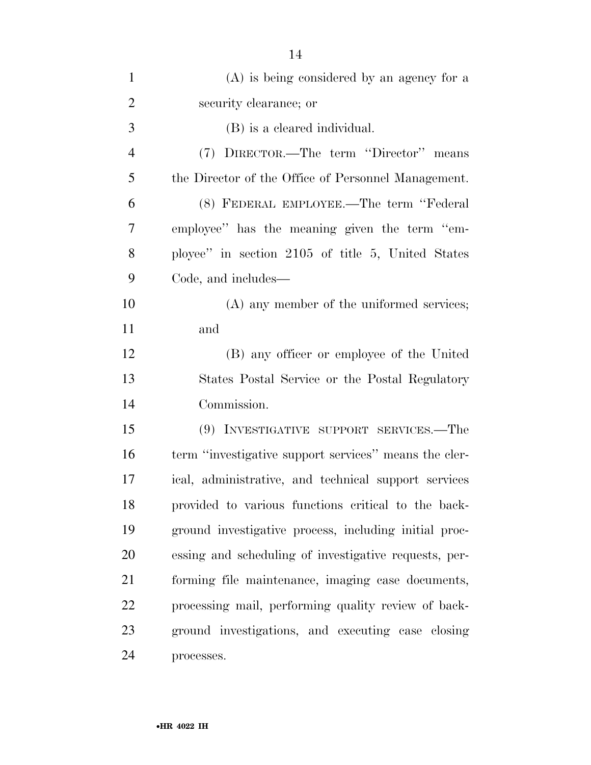| $\mathbf{1}$   | $(A)$ is being considered by an agency for a          |
|----------------|-------------------------------------------------------|
| $\overline{2}$ | security clearance; or                                |
| 3              | (B) is a cleared individual.                          |
| $\overline{4}$ | (7) DIRECTOR.—The term "Director" means               |
| 5              | the Director of the Office of Personnel Management.   |
| 6              | (8) FEDERAL EMPLOYEE.—The term "Federal               |
| 7              | employee" has the meaning given the term "em-         |
| 8              | ployee" in section 2105 of title 5, United States     |
| 9              | Code, and includes—                                   |
| 10             | (A) any member of the uniformed services;             |
| 11             | and                                                   |
| 12             | (B) any officer or employee of the United             |
| 13             | States Postal Service or the Postal Regulatory        |
| 14             | Commission.                                           |
| 15             | (9) INVESTIGATIVE SUPPORT SERVICES.—The               |
| 16             | term "investigative support services" means the cler- |
| 17             | ical, administrative, and technical support services  |
| 18             | provided to various functions critical to the back-   |
| 19             | ground investigative process, including initial proc- |
| 20             | essing and scheduling of investigative requests, per- |
| 21             | forming file maintenance, imaging case documents,     |
| 22             | processing mail, performing quality review of back-   |
| 23             | ground investigations, and executing case closing     |
| 24             | processes.                                            |